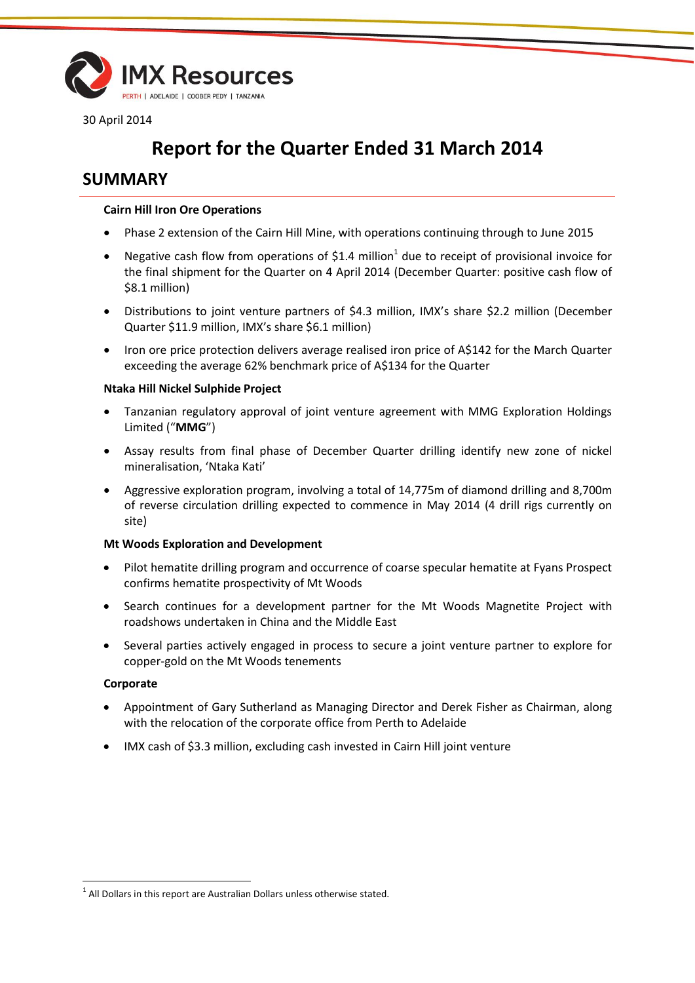

30 April 2014

# **Report for the Quarter Ended 31 March 2014**

## **SUMMARY**

#### **Cairn Hill Iron Ore Operations**

- Phase 2 extension of the Cairn Hill Mine, with operations continuing through to June 2015
- Negative cash flow from operations of \$1.4 million<sup>1</sup> due to receipt of provisional invoice for the final shipment for the Quarter on 4 April 2014 (December Quarter: positive cash flow of \$8.1 million)
- Distributions to joint venture partners of \$4.3 million, IMX's share \$2.2 million (December Quarter \$11.9 million, IMX's share \$6.1 million)
- Iron ore price protection delivers average realised iron price of A\$142 for the March Quarter exceeding the average 62% benchmark price of A\$134 for the Quarter

#### **Ntaka Hill Nickel Sulphide Project**

- Tanzanian regulatory approval of joint venture agreement with MMG Exploration Holdings Limited ("**MMG**")
- Assay results from final phase of December Quarter drilling identify new zone of nickel mineralisation, 'Ntaka Kati'
- Aggressive exploration program, involving a total of 14,775m of diamond drilling and 8,700m of reverse circulation drilling expected to commence in May 2014 (4 drill rigs currently on site)

#### **Mt Woods Exploration and Development**

- Pilot hematite drilling program and occurrence of coarse specular hematite at Fyans Prospect confirms hematite prospectivity of Mt Woods
- Search continues for a development partner for the Mt Woods Magnetite Project with roadshows undertaken in China and the Middle East
- Several parties actively engaged in process to secure a joint venture partner to explore for copper-gold on the Mt Woods tenements

#### **Corporate**

l

- Appointment of Gary Sutherland as Managing Director and Derek Fisher as Chairman, along with the relocation of the corporate office from Perth to Adelaide
- IMX cash of \$3.3 million, excluding cash invested in Cairn Hill joint venture

 $<sup>1</sup>$  All Dollars in this report are Australian Dollars unless otherwise stated.</sup>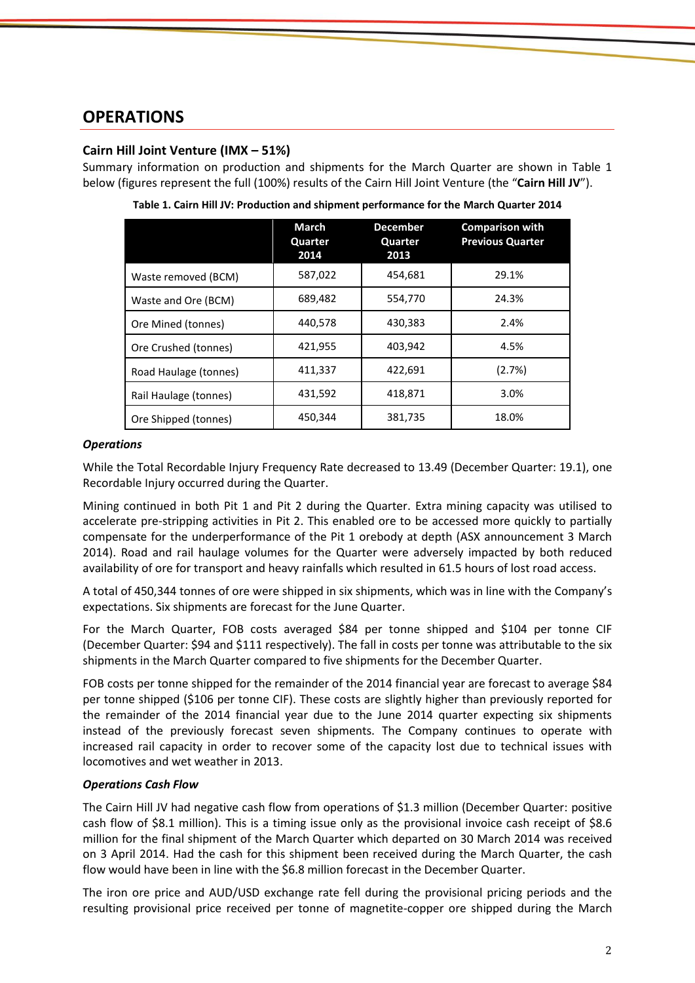## **OPERATIONS**

### **Cairn Hill Joint Venture (IMX – 51%)**

Summary information on production and shipments for the March Quarter are shown in Table 1 below (figures represent the full (100%) results of the Cairn Hill Joint Venture (the "**Cairn Hill JV**").

|                       | March<br>Quarter<br>2014 | <b>December</b><br>Quarter<br>2013 | <b>Comparison with</b><br><b>Previous Quarter</b> |
|-----------------------|--------------------------|------------------------------------|---------------------------------------------------|
| Waste removed (BCM)   | 587,022                  | 454,681                            | 29.1%                                             |
| Waste and Ore (BCM)   | 689,482                  | 554,770                            | 24.3%                                             |
| Ore Mined (tonnes)    | 440,578                  | 430,383                            | 2.4%                                              |
| Ore Crushed (tonnes)  | 421,955                  | 403,942                            | 4.5%                                              |
| Road Haulage (tonnes) | 411,337                  | 422,691                            | (2.7%)                                            |
| Rail Haulage (tonnes) | 431,592                  | 418,871                            | 3.0%                                              |
| Ore Shipped (tonnes)  | 450,344                  | 381,735                            | 18.0%                                             |

**Table 1. Cairn Hill JV: Production and shipment performance for the March Quarter 2014**

#### *Operations*

While the Total Recordable Injury Frequency Rate decreased to 13.49 (December Quarter: 19.1), one Recordable Injury occurred during the Quarter.

Mining continued in both Pit 1 and Pit 2 during the Quarter. Extra mining capacity was utilised to accelerate pre-stripping activities in Pit 2. This enabled ore to be accessed more quickly to partially compensate for the underperformance of the Pit 1 orebody at depth (ASX announcement 3 March 2014). Road and rail haulage volumes for the Quarter were adversely impacted by both reduced availability of ore for transport and heavy rainfalls which resulted in 61.5 hours of lost road access.

A total of 450,344 tonnes of ore were shipped in six shipments, which was in line with the Company's expectations. Six shipments are forecast for the June Quarter.

For the March Quarter, FOB costs averaged \$84 per tonne shipped and \$104 per tonne CIF (December Quarter: \$94 and \$111 respectively). The fall in costs per tonne was attributable to the six shipments in the March Quarter compared to five shipments for the December Quarter.

FOB costs per tonne shipped for the remainder of the 2014 financial year are forecast to average \$84 per tonne shipped (\$106 per tonne CIF). These costs are slightly higher than previously reported for the remainder of the 2014 financial year due to the June 2014 quarter expecting six shipments instead of the previously forecast seven shipments. The Company continues to operate with increased rail capacity in order to recover some of the capacity lost due to technical issues with locomotives and wet weather in 2013.

### *Operations Cash Flow*

The Cairn Hill JV had negative cash flow from operations of \$1.3 million (December Quarter: positive cash flow of \$8.1 million). This is a timing issue only as the provisional invoice cash receipt of \$8.6 million for the final shipment of the March Quarter which departed on 30 March 2014 was received on 3 April 2014. Had the cash for this shipment been received during the March Quarter, the cash flow would have been in line with the \$6.8 million forecast in the December Quarter.

The iron ore price and AUD/USD exchange rate fell during the provisional pricing periods and the resulting provisional price received per tonne of magnetite-copper ore shipped during the March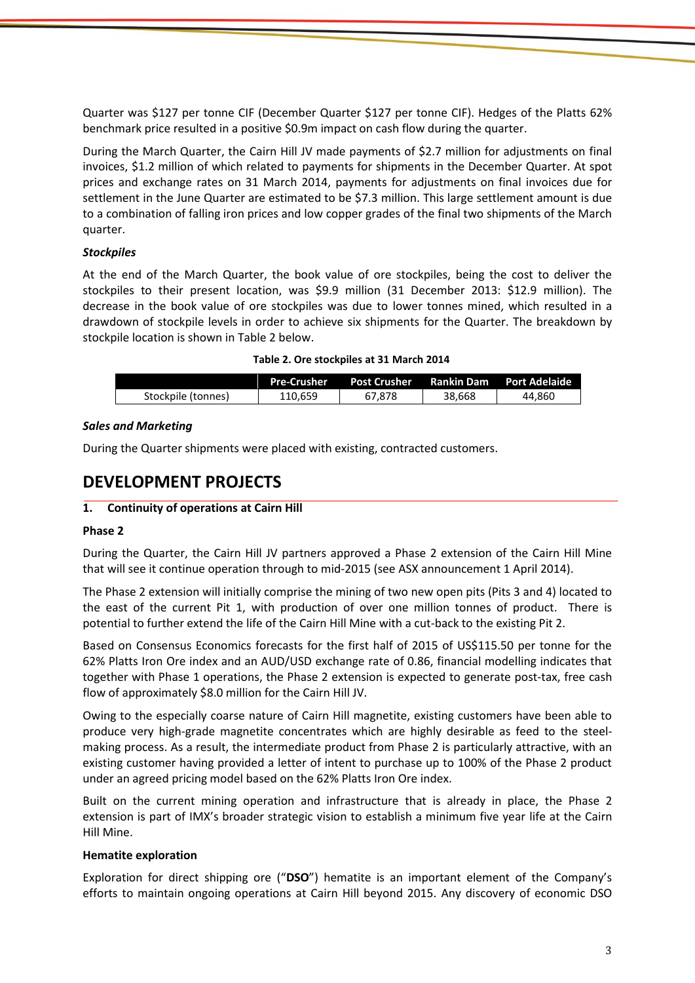Quarter was \$127 per tonne CIF (December Quarter \$127 per tonne CIF). Hedges of the Platts 62% benchmark price resulted in a positive \$0.9m impact on cash flow during the quarter.

During the March Quarter, the Cairn Hill JV made payments of \$2.7 million for adjustments on final invoices, \$1.2 million of which related to payments for shipments in the December Quarter. At spot prices and exchange rates on 31 March 2014, payments for adjustments on final invoices due for settlement in the June Quarter are estimated to be \$7.3 million. This large settlement amount is due to a combination of falling iron prices and low copper grades of the final two shipments of the March quarter.

#### *Stockpiles*

At the end of the March Quarter, the book value of ore stockpiles, being the cost to deliver the stockpiles to their present location, was \$9.9 million (31 December 2013: \$12.9 million). The decrease in the book value of ore stockpiles was due to lower tonnes mined, which resulted in a drawdown of stockpile levels in order to achieve six shipments for the Quarter. The breakdown by stockpile location is shown in Table 2 below.

#### **Table 2. Ore stockpiles at 31 March 2014**

|                    | <b>Pre-Crusher</b> | <b>Post Crusher</b> | Rankin Dam | <b>Port Adelaide</b> |
|--------------------|--------------------|---------------------|------------|----------------------|
| Stockpile (tonnes) | 110.659            | 67.878              | 38.668     | 44.860               |

#### *Sales and Marketing*

During the Quarter shipments were placed with existing, contracted customers.

## **DEVELOPMENT PROJECTS**

#### **1. Continuity of operations at Cairn Hill**

#### **Phase 2**

During the Quarter, the Cairn Hill JV partners approved a Phase 2 extension of the Cairn Hill Mine that will see it continue operation through to mid-2015 (see ASX announcement 1 April 2014).

The Phase 2 extension will initially comprise the mining of two new open pits (Pits 3 and 4) located to the east of the current Pit 1, with production of over one million tonnes of product. There is potential to further extend the life of the Cairn Hill Mine with a cut-back to the existing Pit 2.

Based on Consensus Economics forecasts for the first half of 2015 of US\$115.50 per tonne for the 62% Platts Iron Ore index and an AUD/USD exchange rate of 0.86, financial modelling indicates that together with Phase 1 operations, the Phase 2 extension is expected to generate post-tax, free cash flow of approximately \$8.0 million for the Cairn Hill JV.

Owing to the especially coarse nature of Cairn Hill magnetite, existing customers have been able to produce very high-grade magnetite concentrates which are highly desirable as feed to the steelmaking process. As a result, the intermediate product from Phase 2 is particularly attractive, with an existing customer having provided a letter of intent to purchase up to 100% of the Phase 2 product under an agreed pricing model based on the 62% Platts Iron Ore index.

Built on the current mining operation and infrastructure that is already in place, the Phase 2 extension is part of IMX's broader strategic vision to establish a minimum five year life at the Cairn Hill Mine.

#### **Hematite exploration**

Exploration for direct shipping ore ("**DSO**") hematite is an important element of the Company's efforts to maintain ongoing operations at Cairn Hill beyond 2015. Any discovery of economic DSO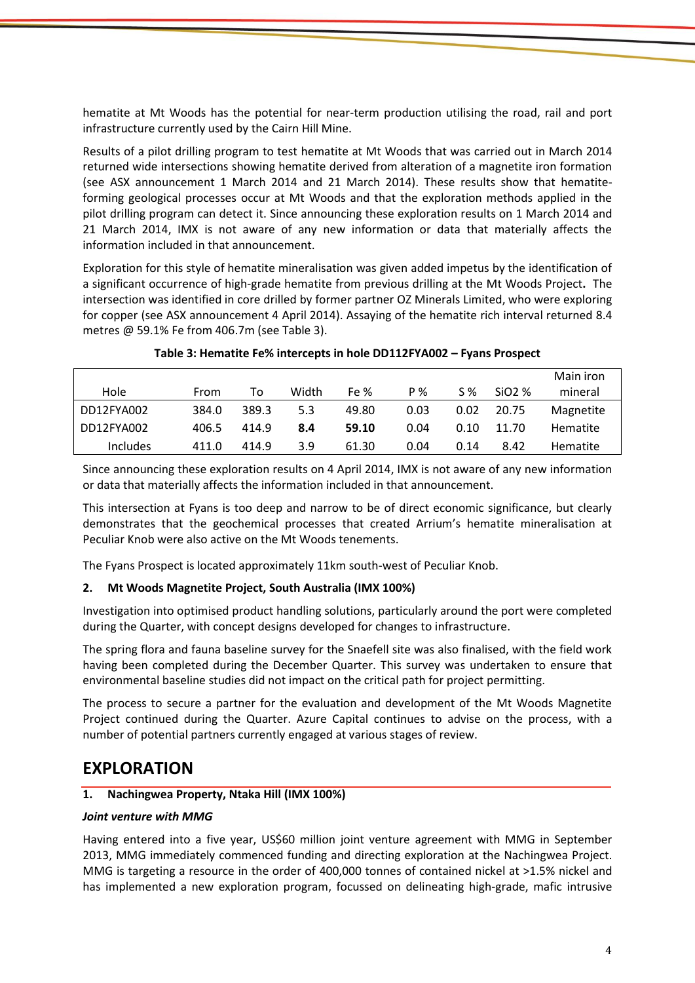hematite at Mt Woods has the potential for near-term production utilising the road, rail and port infrastructure currently used by the Cairn Hill Mine.

Results of a pilot drilling program to test hematite at Mt Woods that was carried out in March 2014 returned wide intersections showing hematite derived from alteration of a magnetite iron formation (see ASX announcement 1 March 2014 and 21 March 2014). These results show that hematiteforming geological processes occur at Mt Woods and that the exploration methods applied in the pilot drilling program can detect it. Since announcing these exploration results on 1 March 2014 and 21 March 2014, IMX is not aware of any new information or data that materially affects the information included in that announcement.

Exploration for this style of hematite mineralisation was given added impetus by the identification of a significant occurrence of high-grade hematite from previous drilling at the Mt Woods Project**.** The intersection was identified in core drilled by former partner OZ Minerals Limited, who were exploring for copper (see ASX announcement 4 April 2014). Assaying of the hematite rich interval returned 8.4 metres @ 59.1% Fe from 406.7m (see Table 3).

| Hole       | From  | То    | Width | Fe %  | P %  | S %  | SiO <sub>2</sub> % | Main iron<br>mineral |
|------------|-------|-------|-------|-------|------|------|--------------------|----------------------|
| DD12FYA002 | 384.0 | 389.3 | 5.3   | 49.80 | 0.03 | 0.02 | 20.75              | Magnetite            |
| DD12FYA002 | 406.5 | 414.9 | 8.4   | 59.10 | 0.04 | 0.10 | 11.70              | Hematite             |
| Includes   | 411.0 | 414.9 | 3.9   | 61.30 | 0.04 | 0.14 | 8.42               | Hematite             |

#### **Table 3: Hematite Fe% intercepts in hole DD112FYA002 – Fyans Prospect**

Since announcing these exploration results on 4 April 2014, IMX is not aware of any new information or data that materially affects the information included in that announcement.

This intersection at Fyans is too deep and narrow to be of direct economic significance, but clearly demonstrates that the geochemical processes that created Arrium's hematite mineralisation at Peculiar Knob were also active on the Mt Woods tenements.

The Fyans Prospect is located approximately 11km south-west of Peculiar Knob.

### **2. Mt Woods Magnetite Project, South Australia (IMX 100%)**

Investigation into optimised product handling solutions, particularly around the port were completed during the Quarter, with concept designs developed for changes to infrastructure.

The spring flora and fauna baseline survey for the Snaefell site was also finalised, with the field work having been completed during the December Quarter. This survey was undertaken to ensure that environmental baseline studies did not impact on the critical path for project permitting.

The process to secure a partner for the evaluation and development of the Mt Woods Magnetite Project continued during the Quarter. Azure Capital continues to advise on the process, with a number of potential partners currently engaged at various stages of review.

## **EXPLORATION**

#### **1. Nachingwea Property, Ntaka Hill (IMX 100%)**

#### *Joint venture with MMG*

Having entered into a five year, US\$60 million joint venture agreement with MMG in September 2013, MMG immediately commenced funding and directing exploration at the Nachingwea Project. MMG is targeting a resource in the order of 400,000 tonnes of contained nickel at >1.5% nickel and has implemented a new exploration program, focussed on delineating high-grade, mafic intrusive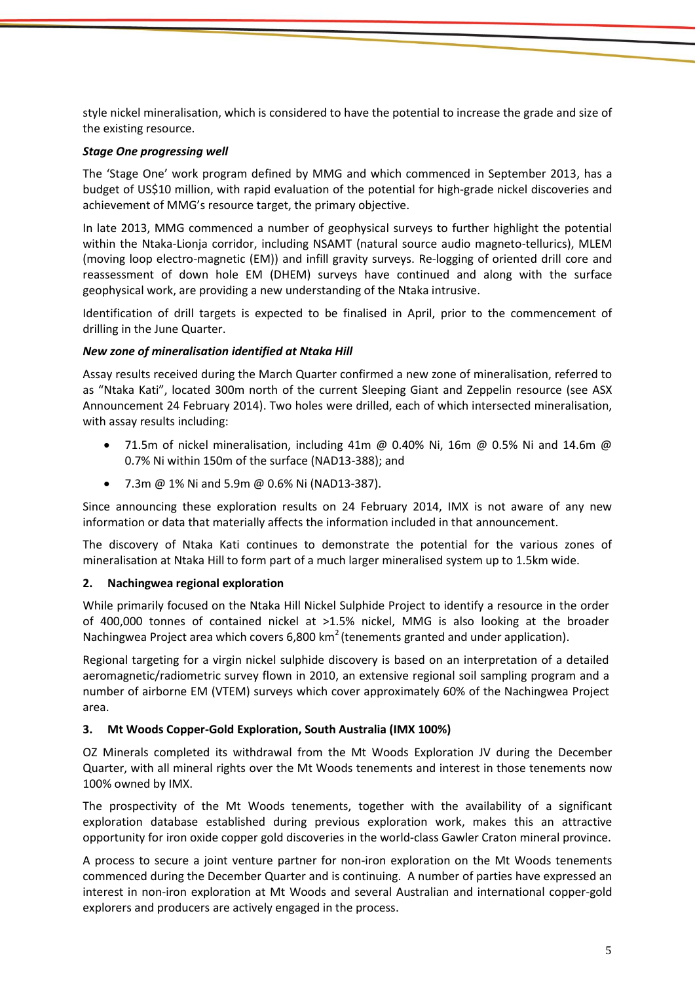style nickel mineralisation, which is considered to have the potential to increase the grade and size of the existing resource.

#### *Stage One progressing well*

The 'Stage One' work program defined by MMG and which commenced in September 2013, has a budget of US\$10 million, with rapid evaluation of the potential for high-grade nickel discoveries and achievement of MMG's resource target, the primary objective.

In late 2013, MMG commenced a number of geophysical surveys to further highlight the potential within the Ntaka-Lionja corridor, including NSAMT (natural source audio magneto-tellurics), MLEM (moving loop electro-magnetic (EM)) and infill gravity surveys. Re-logging of oriented drill core and reassessment of down hole EM (DHEM) surveys have continued and along with the surface geophysical work, are providing a new understanding of the Ntaka intrusive.

Identification of drill targets is expected to be finalised in April, prior to the commencement of drilling in the June Quarter.

#### *New zone of mineralisation identified at Ntaka Hill*

Assay results received during the March Quarter confirmed a new zone of mineralisation, referred to as "Ntaka Kati", located 300m north of the current Sleeping Giant and Zeppelin resource (see ASX Announcement 24 February 2014). Two holes were drilled, each of which intersected mineralisation, with assay results including:

- 71.5m of nickel mineralisation, including  $41m \omega$  0.40% Ni, 16m  $\omega$  0.5% Ni and 14.6m  $\omega$ 0.7% Ni within 150m of the surface (NAD13-388); and
- 7.3m @ 1% Ni and 5.9m @ 0.6% Ni (NAD13-387).

Since announcing these exploration results on 24 February 2014, IMX is not aware of any new information or data that materially affects the information included in that announcement.

The discovery of Ntaka Kati continues to demonstrate the potential for the various zones of mineralisation at Ntaka Hill to form part of a much larger mineralised system up to 1.5km wide.

#### **2. Nachingwea regional exploration**

While primarily focused on the Ntaka Hill Nickel Sulphide Project to identify a resource in the order of 400,000 tonnes of contained nickel at >1.5% nickel, MMG is also looking at the broader Nachingwea Project area which covers 6,800 km<sup>2</sup> (tenements granted and under application).

Regional targeting for a virgin nickel sulphide discovery is based on an interpretation of a detailed aeromagnetic/radiometric survey flown in 2010, an extensive regional soil sampling program and a number of airborne EM (VTEM) surveys which cover approximately 60% of the Nachingwea Project area.

#### **3. Mt Woods Copper-Gold Exploration, South Australia (IMX 100%)**

OZ Minerals completed its withdrawal from the Mt Woods Exploration JV during the December Quarter, with all mineral rights over the Mt Woods tenements and interest in those tenements now 100% owned by IMX.

The prospectivity of the Mt Woods tenements, together with the availability of a significant exploration database established during previous exploration work, makes this an attractive opportunity for iron oxide copper gold discoveries in the world-class Gawler Craton mineral province.

A process to secure a joint venture partner for non-iron exploration on the Mt Woods tenements commenced during the December Quarter and is continuing. A number of parties have expressed an interest in non-iron exploration at Mt Woods and several Australian and international copper-gold explorers and producers are actively engaged in the process.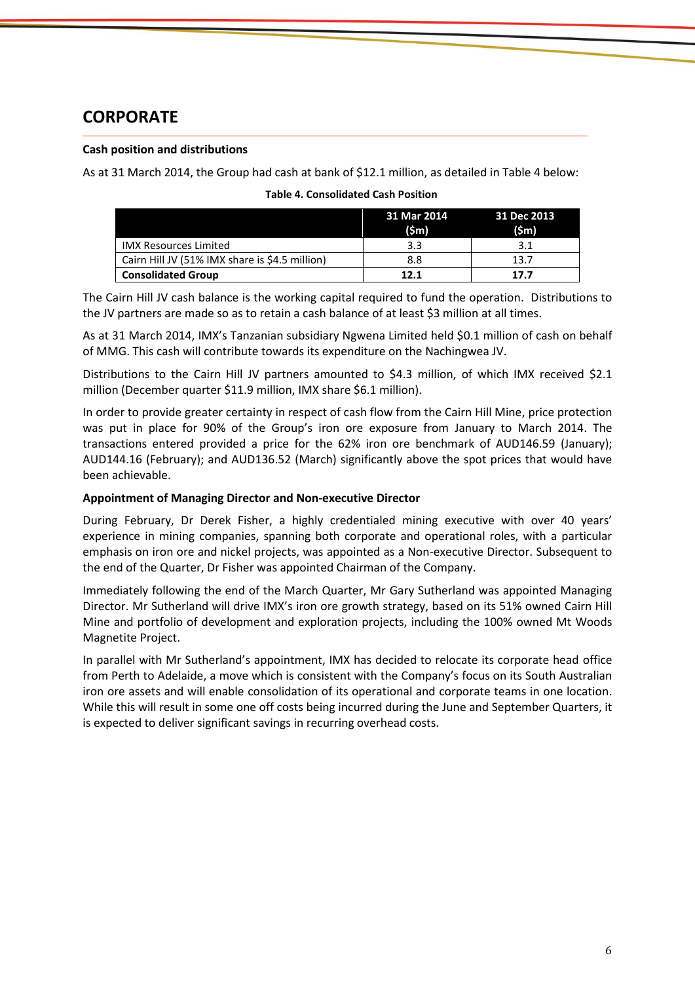# **CORPORATE**

#### **Cash position and distributions**

As at 31 March 2014, the Group had cash at bank of \$12.1 million, as detailed in Table 4 below:

|                                                | 31 Mar 2014<br>$(\mathsf{Sm})$ | 31 Dec 2013<br>$(\mathsf{Sm})$ |
|------------------------------------------------|--------------------------------|--------------------------------|
| <b>IMX Resources Limited</b>                   | 3.3                            | 3.1                            |
| Cairn Hill JV (51% IMX share is \$4.5 million) | 8.8                            | 13.7                           |
| <b>Consolidated Group</b>                      | 12.1                           | 17.7                           |

#### **Table 4. Consolidated Cash Position**

The Cairn Hill JV cash balance is the working capital required to fund the operation. Distributions to the JV partners are made so as to retain a cash balance of at least \$3 million at all times.

As at 31 March 2014, IMX's Tanzanian subsidiary Ngwena Limited held \$0.1 million of cash on behalf of MMG. This cash will contribute towards its expenditure on the Nachingwea JV.

Distributions to the Cairn Hill JV partners amounted to \$4.3 million, of which IMX received \$2.1 million (December quarter \$11.9 million, IMX share \$6.1 million).

In order to provide greater certainty in respect of cash flow from the Cairn Hill Mine, price protection was put in place for 90% of the Group's iron ore exposure from January to March 2014. The transactions entered provided a price for the 62% iron ore benchmark of AUD146.59 (January); AUD144.16 (February); and AUD136.52 (March) significantly above the spot prices that would have been achievable.

#### **Appointment of Managing Director and Non-executive Director**

During February, Dr Derek Fisher, a highly credentialed mining executive with over 40 years' experience in mining companies, spanning both corporate and operational roles, with a particular emphasis on iron ore and nickel projects, was appointed as a Non-executive Director. Subsequent to the end of the Quarter, Dr Fisher was appointed Chairman of the Company.

Immediately following the end of the March Quarter, Mr Gary Sutherland was appointed Managing Director. Mr Sutherland will drive IMX's iron ore growth strategy, based on its 51% owned Cairn Hill Mine and portfolio of development and exploration projects, including the 100% owned Mt Woods Magnetite Project.

In parallel with Mr Sutherland's appointment, IMX has decided to relocate its corporate head office from Perth to Adelaide, a move which is consistent with the Company's focus on its South Australian iron ore assets and will enable consolidation of its operational and corporate teams in one location. While this will result in some one off costs being incurred during the June and September Quarters, it is expected to deliver significant savings in recurring overhead costs.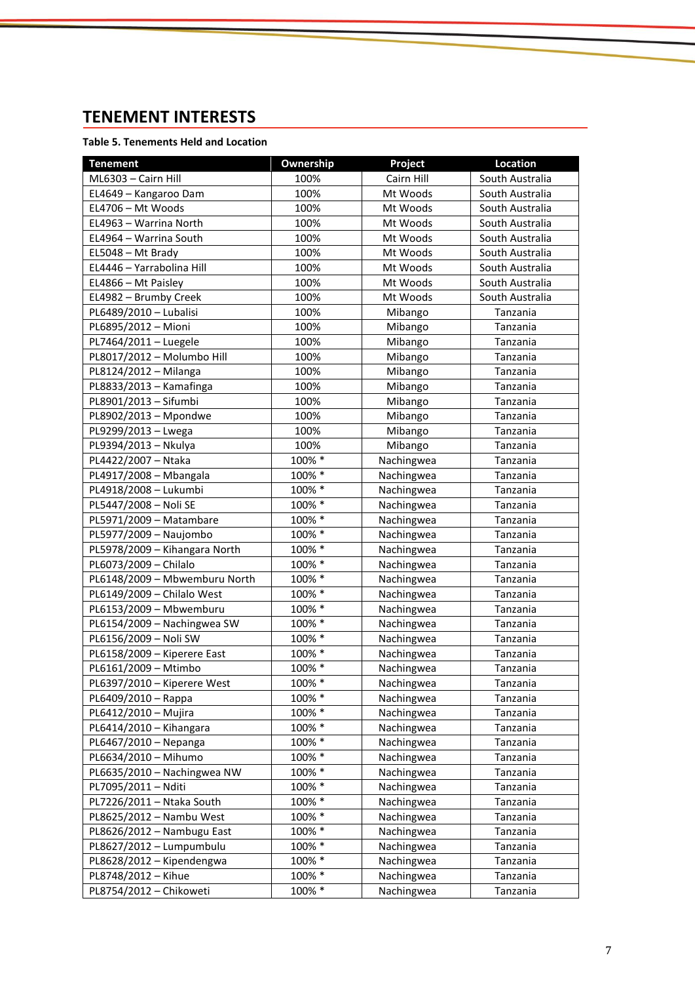# **TENEMENT INTERESTS**

#### **Table 5. Tenements Held and Location**

| <b>Tenement</b>               | Ownership | Project    | <b>Location</b> |
|-------------------------------|-----------|------------|-----------------|
| ML6303 - Cairn Hill           | 100%      | Cairn Hill | South Australia |
| EL4649 - Kangaroo Dam         | 100%      | Mt Woods   | South Australia |
| EL4706 - Mt Woods             | 100%      | Mt Woods   | South Australia |
| EL4963 - Warrina North        | 100%      | Mt Woods   | South Australia |
| EL4964 - Warrina South        | 100%      | Mt Woods   | South Australia |
| EL5048 - Mt Brady             | 100%      | Mt Woods   | South Australia |
| EL4446 - Yarrabolina Hill     | 100%      | Mt Woods   | South Australia |
| EL4866 - Mt Paisley           | 100%      | Mt Woods   | South Australia |
| EL4982 - Brumby Creek         | 100%      | Mt Woods   | South Australia |
| PL6489/2010 - Lubalisi        | 100%      | Mibango    | Tanzania        |
| PL6895/2012 - Mioni           | 100%      | Mibango    | Tanzania        |
| PL7464/2011 - Luegele         | 100%      | Mibango    | Tanzania        |
| PL8017/2012 - Molumbo Hill    | 100%      | Mibango    | Tanzania        |
| PL8124/2012 - Milanga         | 100%      | Mibango    | Tanzania        |
| PL8833/2013 - Kamafinga       | 100%      | Mibango    | Tanzania        |
| PL8901/2013 - Sifumbi         | 100%      | Mibango    | Tanzania        |
| PL8902/2013 - Mpondwe         | 100%      | Mibango    | Tanzania        |
| PL9299/2013 - Lwega           | 100%      | Mibango    | Tanzania        |
| PL9394/2013 - Nkulya          | 100%      | Mibango    | Tanzania        |
| PL4422/2007 - Ntaka           | 100% *    | Nachingwea | Tanzania        |
| PL4917/2008 - Mbangala        | 100% *    | Nachingwea | Tanzania        |
| PL4918/2008 - Lukumbi         | 100% *    | Nachingwea | Tanzania        |
| PL5447/2008 - Noli SE         | 100% *    | Nachingwea | Tanzania        |
| PL5971/2009 - Matambare       | 100% *    | Nachingwea | Tanzania        |
| PL5977/2009 - Naujombo        | 100% *    | Nachingwea | Tanzania        |
| PL5978/2009 - Kihangara North | 100% *    | Nachingwea | Tanzania        |
| PL6073/2009 - Chilalo         | 100% *    | Nachingwea | Tanzania        |
| PL6148/2009 - Mbwemburu North | 100% *    | Nachingwea | Tanzania        |
| PL6149/2009 - Chilalo West    | 100% *    | Nachingwea | Tanzania        |
| PL6153/2009 - Mbwemburu       | 100% *    | Nachingwea | Tanzania        |
| PL6154/2009 - Nachingwea SW   | 100% *    | Nachingwea | Tanzania        |
| PL6156/2009 - Noli SW         | 100% *    | Nachingwea | Tanzania        |
| PL6158/2009 - Kiperere East   | 100% *    | Nachingwea | Tanzania        |
| PL6161/2009 - Mtimbo          | 100% *    | Nachingwea | Tanzania        |
| PL6397/2010 - Kiperere West   | 100% *    | Nachingwea | Tanzania        |
| PL6409/2010 - Rappa           | 100% *    | Nachingwea | Tanzania        |
| PL6412/2010 - Mujira          | 100% *    | Nachingwea | Tanzania        |
| PL6414/2010 - Kihangara       | 100% *    | Nachingwea | Tanzania        |
| PL6467/2010 - Nepanga         | 100% *    | Nachingwea | Tanzania        |
| PL6634/2010 - Mihumo          | 100% *    | Nachingwea | Tanzania        |
| PL6635/2010 - Nachingwea NW   | 100% *    | Nachingwea | Tanzania        |
| PL7095/2011 - Nditi           | 100% *    | Nachingwea | Tanzania        |
| PL7226/2011 - Ntaka South     | 100% *    | Nachingwea | Tanzania        |
| PL8625/2012 - Nambu West      | 100% *    | Nachingwea | Tanzania        |
| PL8626/2012 - Nambugu East    | 100% *    | Nachingwea | Tanzania        |
| PL8627/2012 - Lumpumbulu      | 100% *    | Nachingwea | Tanzania        |
| PL8628/2012 - Kipendengwa     | 100% *    | Nachingwea | Tanzania        |
| PL8748/2012 - Kihue           | 100% *    | Nachingwea | Tanzania        |
| PL8754/2012 - Chikoweti       | 100% *    | Nachingwea | Tanzania        |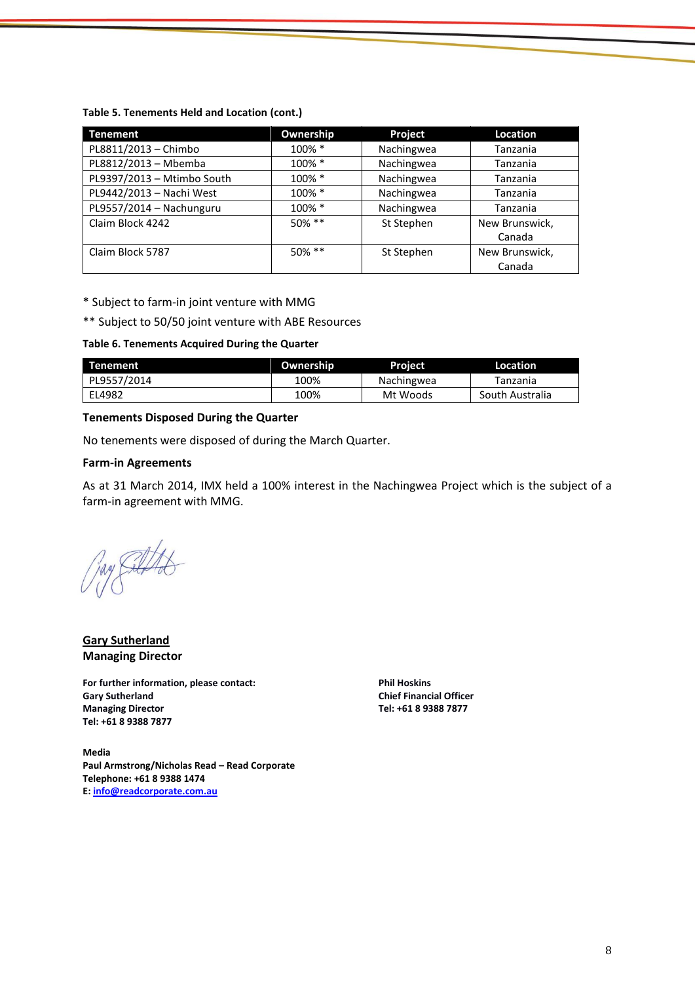#### **Table 5. Tenements Held and Location (cont.)**

| <b>Tenement</b>            | Ownership | <b>Project</b> | <b>Location</b> |
|----------------------------|-----------|----------------|-----------------|
| PL8811/2013 - Chimbo       | 100% *    | Nachingwea     | Tanzania        |
| PL8812/2013 - Mbemba       | 100% *    | Nachingwea     | Tanzania        |
| PL9397/2013 - Mtimbo South | 100% *    | Nachingwea     | Tanzania        |
| PL9442/2013 - Nachi West   | 100% *    | Nachingwea     | Tanzania        |
| PL9557/2014 - Nachunguru   | 100% *    | Nachingwea     | Tanzania        |
| Claim Block 4242           | 50% **    | St Stephen     | New Brunswick,  |
|                            |           |                | Canada          |
| Claim Block 5787           | $50\%$ ** | St Stephen     | New Brunswick,  |
|                            |           |                | Canada          |

\* Subject to farm-in joint venture with MMG

\*\* Subject to 50/50 joint venture with ABE Resources

#### **Table 6. Tenements Acquired During the Quarter**

| <b>Tenement</b> | Ownership | <b>Project</b> | Location        |
|-----------------|-----------|----------------|-----------------|
| PL9557/2014     | 100%      | Nachingwea     | Tanzania        |
| EL4982          | 100%      | Mt Woods       | South Australia |

#### **Tenements Disposed During the Quarter**

No tenements were disposed of during the March Quarter.

#### **Farm-in Agreements**

As at 31 March 2014, IMX held a 100% interest in the Nachingwea Project which is the subject of a farm-in agreement with MMG.

Juny Culto

**Gary Sutherland Managing Director**

**For further information, please contact: Gary Sutherland Managing Director Tel: +61 8 9388 7877**

**Phil Hoskins Chief Financial Officer Tel: +61 8 9388 7877**

**Media Paul Armstrong/Nicholas Read – Read Corporate Telephone: +61 8 9388 1474 E: [info@readcorporate.com.au](mailto:info@readcorporate.com.au)**